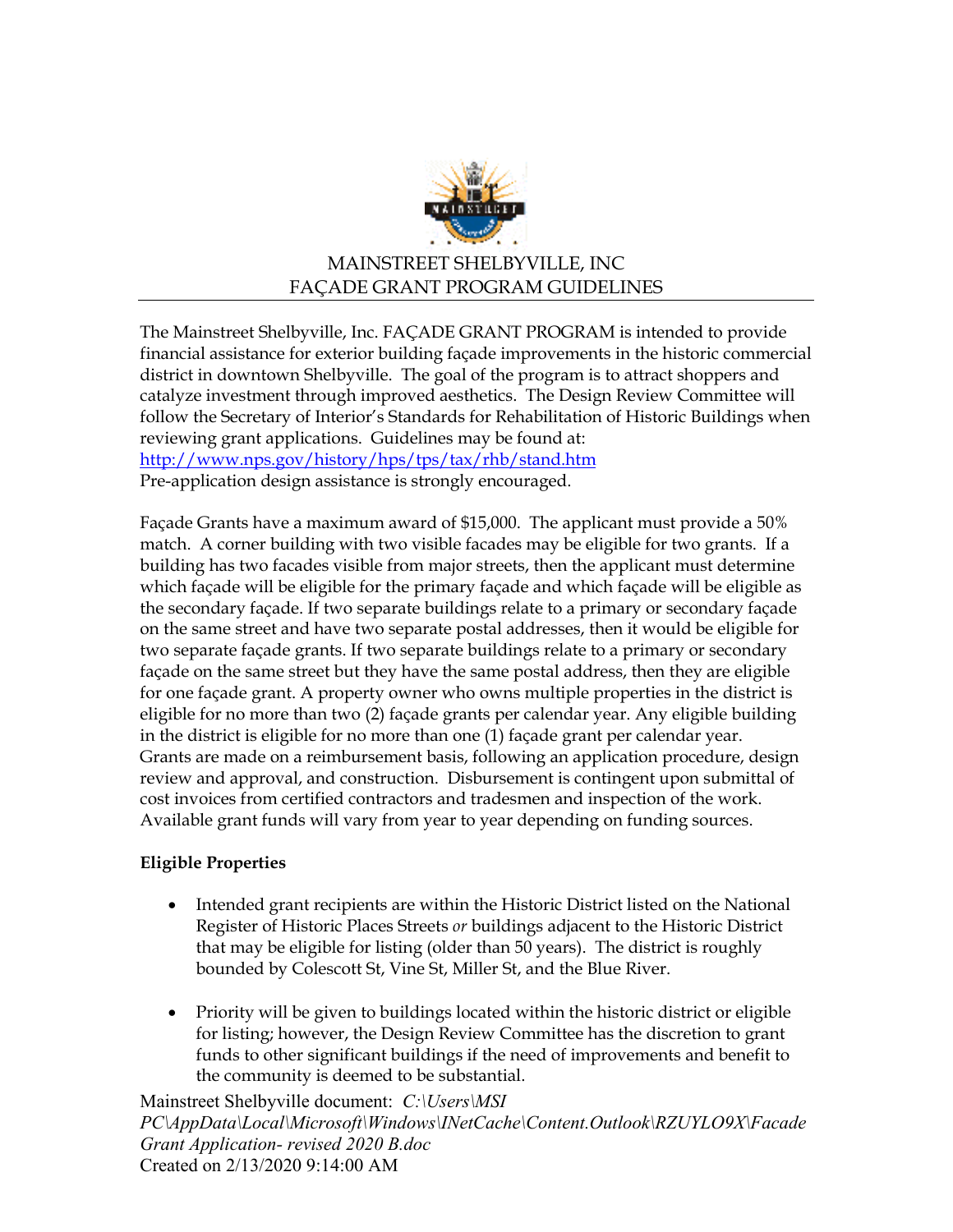

# MAINSTREET SHELBYVILLE, INC FAÇADE GRANT PROGRAM GUIDELINES

The Mainstreet Shelbyville, Inc. FAÇADE GRANT PROGRAM is intended to provide financial assistance for exterior building façade improvements in the historic commercial district in downtown Shelbyville. The goal of the program is to attract shoppers and catalyze investment through improved aesthetics. The Design Review Committee will follow the Secretary of Interior's Standards for Rehabilitation of Historic Buildings when reviewing grant applications. Guidelines may be found at: <http://www.nps.gov/history/hps/tps/tax/rhb/stand.htm> Pre-application design assistance is strongly encouraged.

Façade Grants have a maximum award of \$15,000. The applicant must provide a 50% match. A corner building with two visible facades may be eligible for two grants. If a building has two facades visible from major streets, then the applicant must determine which façade will be eligible for the primary façade and which façade will be eligible as the secondary façade. If two separate buildings relate to a primary or secondary façade on the same street and have two separate postal addresses, then it would be eligible for two separate façade grants. If two separate buildings relate to a primary or secondary façade on the same street but they have the same postal address, then they are eligible for one façade grant. A property owner who owns multiple properties in the district is eligible for no more than two (2) façade grants per calendar year. Any eligible building in the district is eligible for no more than one (1) façade grant per calendar year. Grants are made on a reimbursement basis, following an application procedure, design review and approval, and construction. Disbursement is contingent upon submittal of cost invoices from certified contractors and tradesmen and inspection of the work. Available grant funds will vary from year to year depending on funding sources.

### **Eligible Properties**

- Intended grant recipients are within the Historic District listed on the National Register of Historic Places Streets *or* buildings adjacent to the Historic District that may be eligible for listing (older than 50 years). The district is roughly bounded by Colescott St, Vine St, Miller St, and the Blue River.
- Priority will be given to buildings located within the historic district or eligible for listing; however, the Design Review Committee has the discretion to grant funds to other significant buildings if the need of improvements and benefit to the community is deemed to be substantial.

Mainstreet Shelbyville document: *C:\Users\MSI PC\AppData\Local\Microsoft\Windows\INetCache\Content.Outlook\RZUYLO9X\Facade Grant Application- revised 2020 B.doc*  Created on 2/13/2020 9:14:00 AM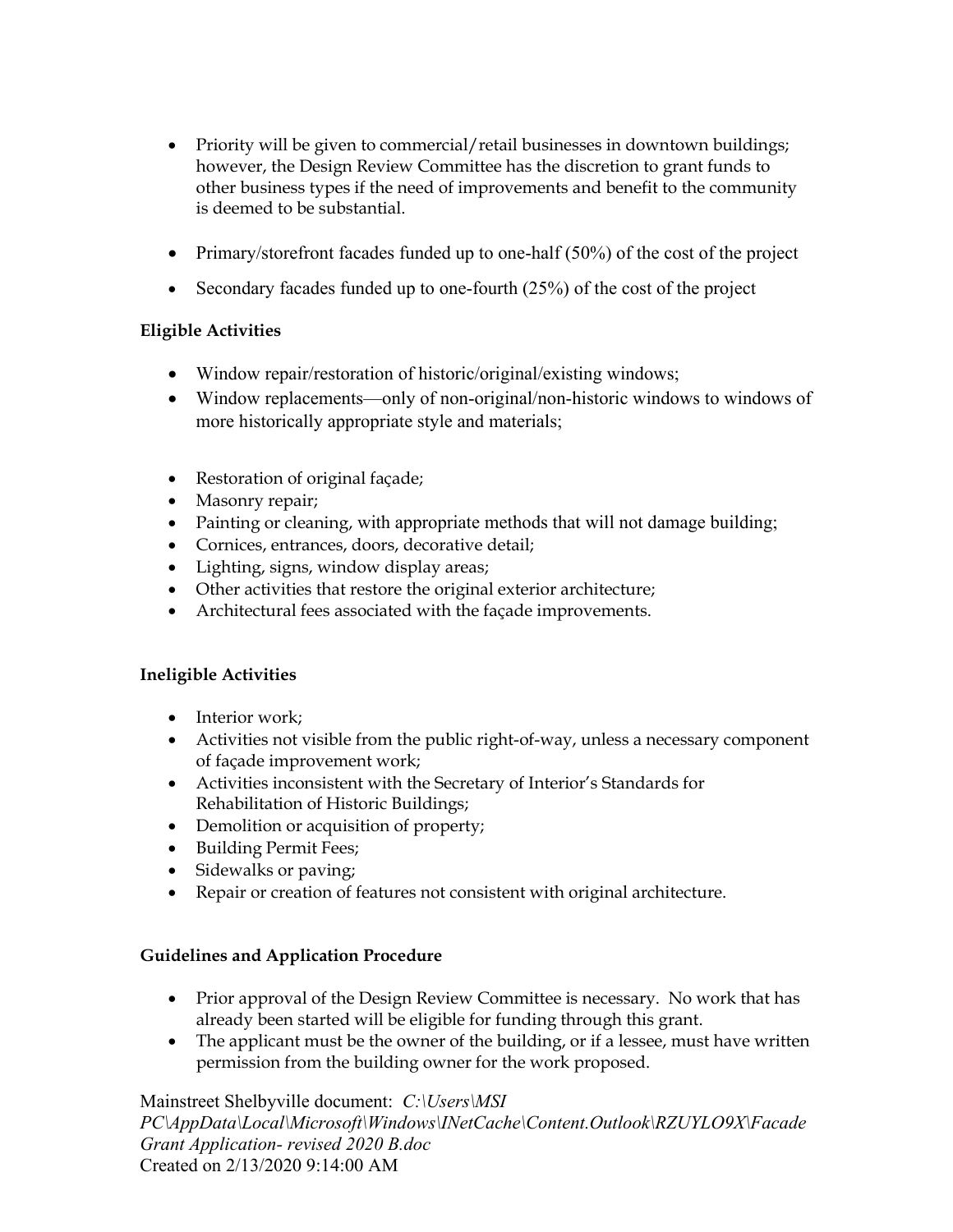- Priority will be given to commercial/retail businesses in downtown buildings; however, the Design Review Committee has the discretion to grant funds to other business types if the need of improvements and benefit to the community is deemed to be substantial.
- Primary/storefront facades funded up to one-half (50%) of the cost of the project
- Secondary facades funded up to one-fourth (25%) of the cost of the project

## **Eligible Activities**

- Window repair/restoration of historic/original/existing windows;
- Window replacements—only of non-original/non-historic windows to windows of more historically appropriate style and materials;
- Restoration of original façade;
- Masonry repair;
- Painting or cleaning, with appropriate methods that will not damage building;
- Cornices, entrances, doors, decorative detail;
- Lighting, signs, window display areas;
- Other activities that restore the original exterior architecture;
- Architectural fees associated with the façade improvements.

### **Ineligible Activities**

- Interior work;
- Activities not visible from the public right-of-way, unless a necessary component of façade improvement work;
- Activities inconsistent with the Secretary of Interior's Standards for Rehabilitation of Historic Buildings;
- Demolition or acquisition of property;
- Building Permit Fees;
- Sidewalks or paving;
- Repair or creation of features not consistent with original architecture.

### **Guidelines and Application Procedure**

- Prior approval of the Design Review Committee is necessary. No work that has already been started will be eligible for funding through this grant.
- The applicant must be the owner of the building, or if a lessee, must have written permission from the building owner for the work proposed.

### Mainstreet Shelbyville document: *C:\Users\MSI*

*PC\AppData\Local\Microsoft\Windows\INetCache\Content.Outlook\RZUYLO9X\Facade Grant Application- revised 2020 B.doc*  Created on 2/13/2020 9:14:00 AM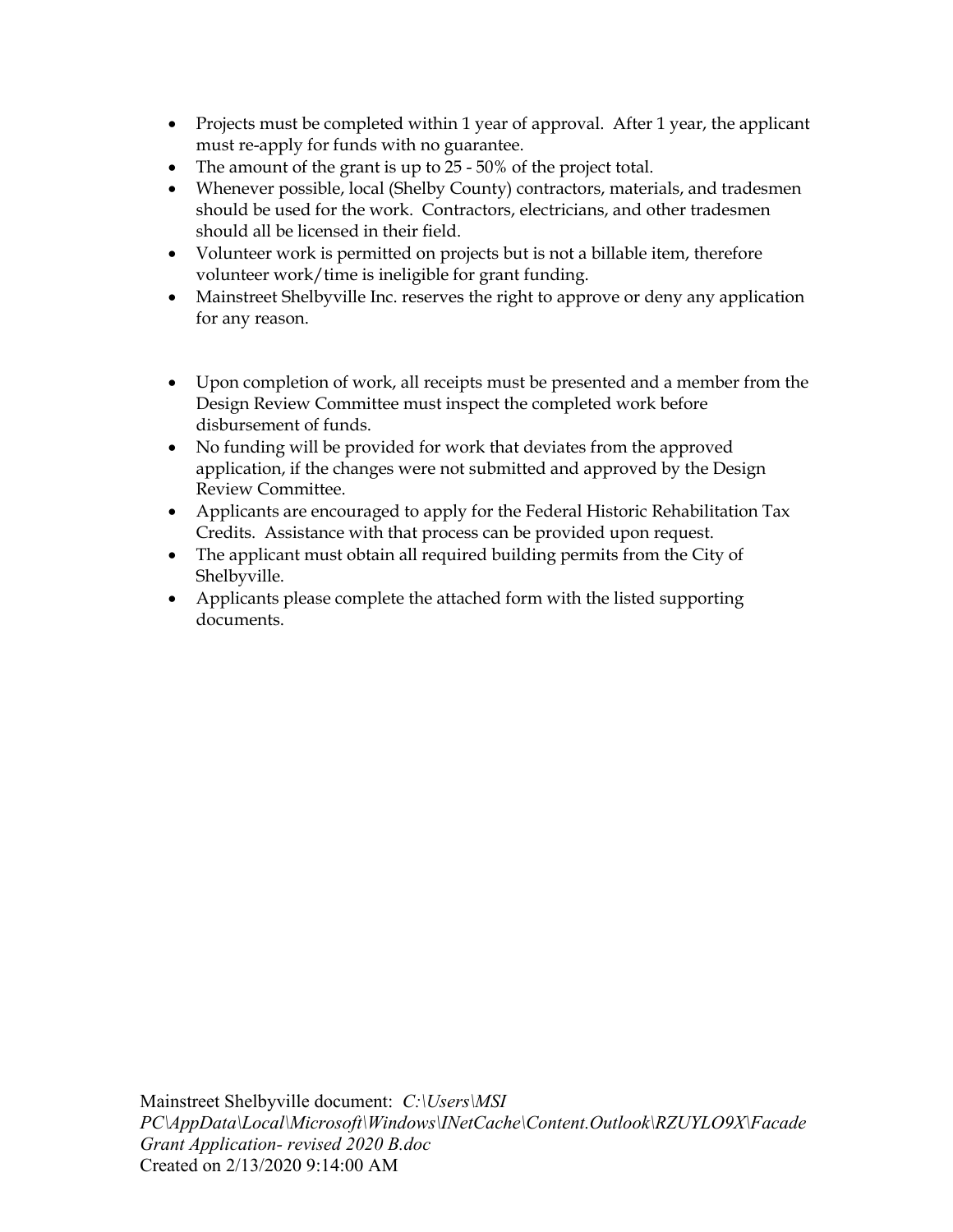- Projects must be completed within 1 year of approval. After 1 year, the applicant must re-apply for funds with no guarantee.
- The amount of the grant is up to 25 50% of the project total.
- Whenever possible, local (Shelby County) contractors, materials, and tradesmen should be used for the work. Contractors, electricians, and other tradesmen should all be licensed in their field.
- Volunteer work is permitted on projects but is not a billable item, therefore volunteer work/time is ineligible for grant funding.
- Mainstreet Shelbyville Inc. reserves the right to approve or deny any application for any reason.
- Upon completion of work, all receipts must be presented and a member from the Design Review Committee must inspect the completed work before disbursement of funds.
- No funding will be provided for work that deviates from the approved application, if the changes were not submitted and approved by the Design Review Committee.
- Applicants are encouraged to apply for the Federal Historic Rehabilitation Tax Credits. Assistance with that process can be provided upon request.
- The applicant must obtain all required building permits from the City of Shelbyville.
- Applicants please complete the attached form with the listed supporting documents.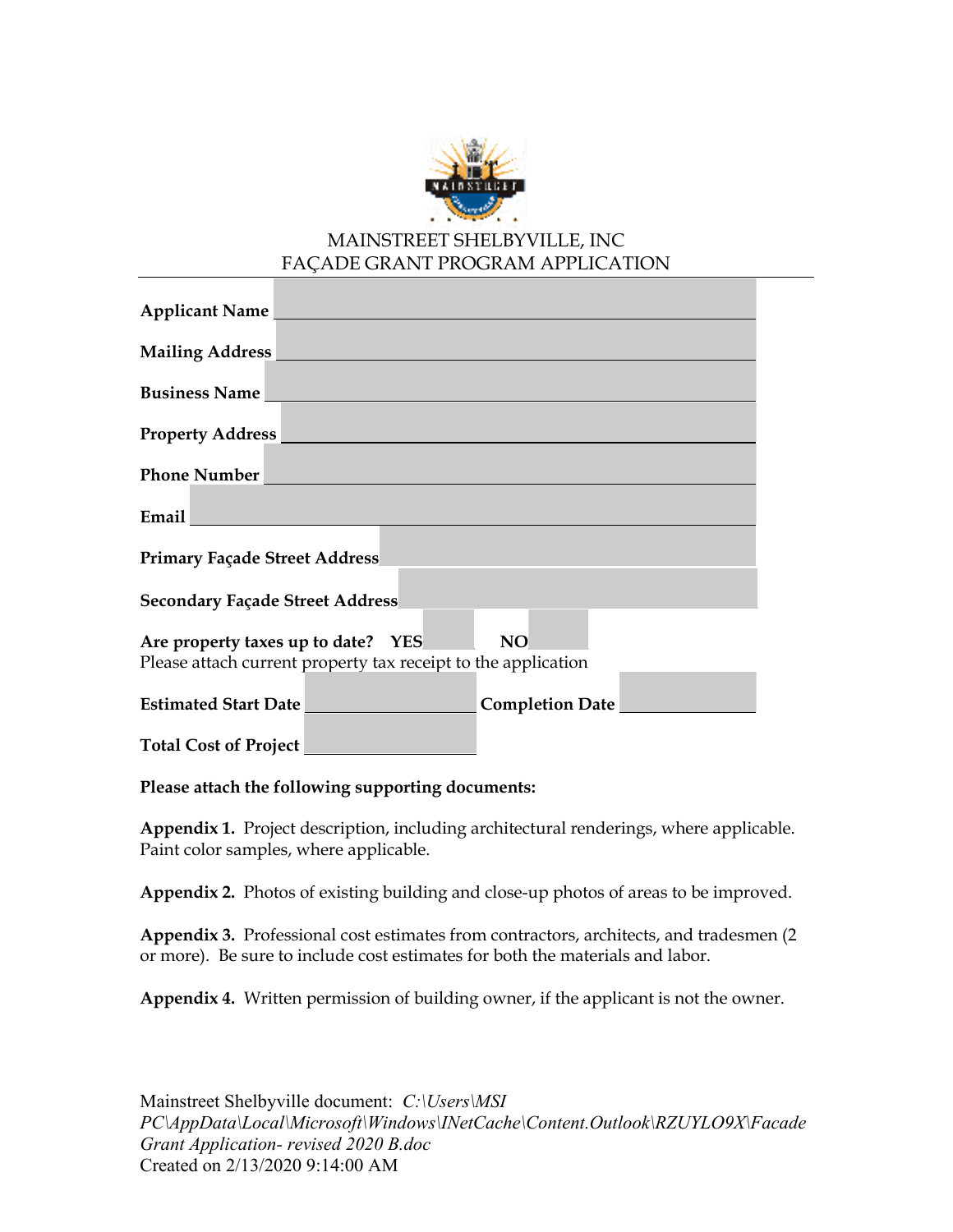

### MAINSTREET SHELBYVILLE, INC FAÇADE GRANT PROGRAM APPLICATION

| <b>Applicant Name</b>                                         |
|---------------------------------------------------------------|
| Mailing Address                                               |
| <b>Business Name</b>                                          |
| <b>Property Address</b>                                       |
| <b>Phone Number</b>                                           |
| Email                                                         |
| <b>Primary Façade Street Address</b>                          |
| <b>Secondary Façade Street Address</b>                        |
| <b>NO</b><br>Are property taxes up to date? YES               |
| Please attach current property tax receipt to the application |
| <b>Estimated Start Date</b><br><b>Completion Date</b>         |
| <b>Total Cost of Project</b>                                  |

**Please attach the following supporting documents:**

**Appendix 1.** Project description, including architectural renderings, where applicable. Paint color samples, where applicable.

**Appendix 2.** Photos of existing building and close-up photos of areas to be improved.

**Appendix 3.** Professional cost estimates from contractors, architects, and tradesmen (2 or more). Be sure to include cost estimates for both the materials and labor.

**Appendix 4.** Written permission of building owner, if the applicant is not the owner.

Mainstreet Shelbyville document: *C:\Users\MSI PC\AppData\Local\Microsoft\Windows\INetCache\Content.Outlook\RZUYLO9X\Facade Grant Application- revised 2020 B.doc*  Created on 2/13/2020 9:14:00 AM